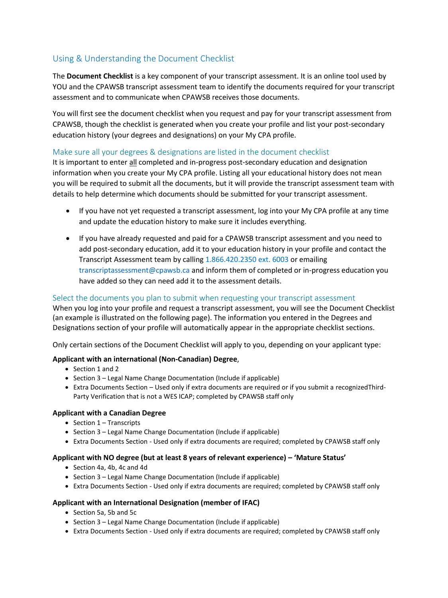# Using & Understanding the Document Checklist

The **Document Checklist** is a key component of your transcript assessment. It is an online tool used by YOU and the CPAWSB transcript assessment team to identify the documents required for your transcript assessment and to communicate when CPAWSB receives those documents.

You will first see the document checklist when you request and pay for your transcript assessment from CPAWSB, though the checklist is generated when you create your profile and list your post-secondary education history (your degrees and designations) on your My CPA profile.

## Make sure all your degrees & designations are listed in the document checklist

It is important to enter all completed and in-progress post-secondary education and designation information when you create your My CPA profile. Listing all your educational history does not mean you will be required to submit all the documents, but it will provide the transcript assessment team with details to help determine which documents should be submitted for your transcript assessment.

- If you have not yet requested a transcript assessment, log into your My CPA profile at any time and update the education history to make sure it includes everything.
- If you have already requested and paid for a CPAWSB transcript assessment and you need to add post-secondary education, add it to your education history in your profile and contact the Transcript Assessment team by calling 1.866.420.2350 ext. 6003 or emailing [transcriptassessment@cpawsb.ca](mailto:transcriptassessment@cpawsb.ca) and inform them of completed or in-progress education you have added so they can need add it to the assessment details.

## Select the documents you plan to submit when requesting your transcript assessment

When you log into your profile and request a transcript assessment, you will see the Document Checklist (an example is illustrated on the following page). The information you entered in the Degrees and Designations section of your profile will automatically appear in the appropriate checklist sections.

Only certain sections of the Document Checklist will apply to you, depending on your applicant type:

#### **Applicant with an international (Non-Canadian) Degree**,

- Section 1 and 2
- Section 3 Legal Name Change Documentation (Include if applicable)
- Extra Documents Section Used only if extra documents are required or if you submit a recognizedThird-Party Verification that is not a WES ICAP; completed by CPAWSB staff only

#### **Applicant with a Canadian Degree**

- Section 1 Transcripts
- Section 3 Legal Name Change Documentation (Include if applicable)
- Extra Documents Section Used only if extra documents are required; completed by CPAWSB staff only

#### **Applicant with NO degree (but at least 8 years of relevant experience) – 'Mature Status'**

- Section 4a, 4b, 4c and 4d
- Section 3 Legal Name Change Documentation (Include if applicable)
- Extra Documents Section Used only if extra documents are required; completed by CPAWSB staff only

#### **Applicant with an International Designation (member of IFAC)**

- Section 5a, 5b and 5c
- Section 3 Legal Name Change Documentation (Include if applicable)
- Extra Documents Section Used only if extra documents are required; completed by CPAWSB staff only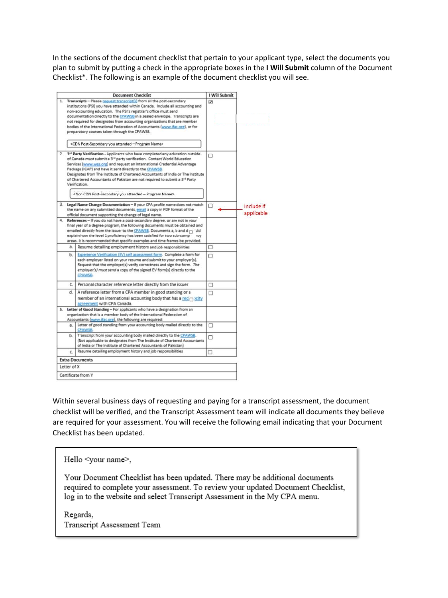In the sections of the document checklist that pertain to your applicant type, select the documents you plan to submit by putting a check in the appropriate boxes in the **I Will Submit** column of the Document Checklist\*. The following is an example of the document checklist you will see.



Within several business days of requesting and paying for a transcript assessment, the document checklist will be verified, and the Transcript Assessment team will indicate all documents they believe are required for your assessment. You will receive the following email indicating that your Document Checklist has been updated.

Hello <your name>,

Your Document Checklist has been updated. There may be additional documents required to complete your assessment. To review your updated Document Checklist, log in to the website and select Transcript Assessment in the My CPA menu.

Regards, Transcript Assessment Team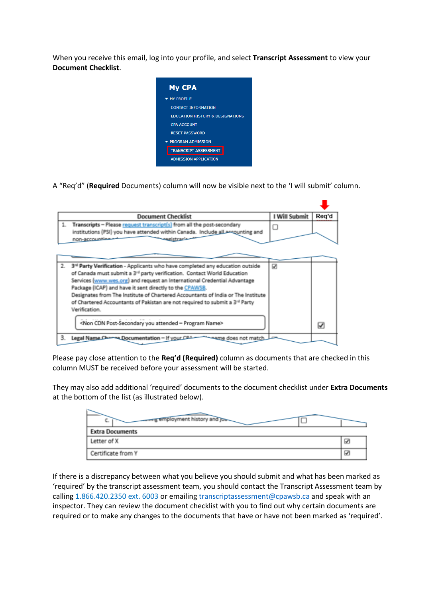When you receive this email, log into your profile, and select **Transcript Assessment** to view your **Document Checklist**.



A "Req'd" (**Required** Documents) column will now be visible next to the 'I will submit' column.

| <b>Document Checklist</b>                                                                                                                                                                                                                                                                                                                                                                                                                                                                                                    | I Will Submit | Reg'd |
|------------------------------------------------------------------------------------------------------------------------------------------------------------------------------------------------------------------------------------------------------------------------------------------------------------------------------------------------------------------------------------------------------------------------------------------------------------------------------------------------------------------------------|---------------|-------|
| Transcripts - Please request transcript(s) from all the post-secondary<br>1.<br>institutions (PSI) you have attended within Canada. Include all accounting and<br>non-accounting                                                                                                                                                                                                                                                                                                                                             | □             |       |
|                                                                                                                                                                                                                                                                                                                                                                                                                                                                                                                              |               |       |
| 3 <sup>rd</sup> Party Verification - Applicants who have completed any education outside<br>2.<br>of Canada must submit a 3 <sup>rd</sup> party verification. Contact World Education<br>Services (www.wes.org) and request an International Credential Advantage<br>Package (ICAP) and have it sent directly to the CPAWSB.<br>Designates from The Institute of Chartered Accountants of India or The Institute<br>of Chartered Accountants of Pakistan are not required to submit a 3 <sup>rd</sup> Party<br>Verification. | ☑             |       |
| <non -="" attended="" cdn="" name="" post-secondary="" program="" you=""></non>                                                                                                                                                                                                                                                                                                                                                                                                                                              |               | ☑     |
| Legal Name Charge Documentation - If your CRA<br>3.<br>mame does not match                                                                                                                                                                                                                                                                                                                                                                                                                                                   |               |       |

Please pay close attention to the **Req'd (Required)** column as documents that are checked in this column MUST be received before your assessment will be started.

They may also add additional 'required' documents to the document checklist under **Extra Documents** at the bottom of the list (as illustrated below).

| g employment history and job-<br>ъ. |    |
|-------------------------------------|----|
| <b>Extra Documents</b>              |    |
| Letter of X                         | U. |
| Certificate from Y                  | ☑  |

If there is a discrepancy between what you believe you should submit and what has been marked as 'required' by the transcript assessment team, you should contact the Transcript Assessment team by calling 1.866.420.2350 ext. 6003 or emailin[g transcriptassessment@cpawsb.ca](mailto:transcriptassessment@cpawsb.ca) and speak with an inspector. They can review the document checklist with you to find out why certain documents are required or to make any changes to the documents that have or have not been marked as 'required'.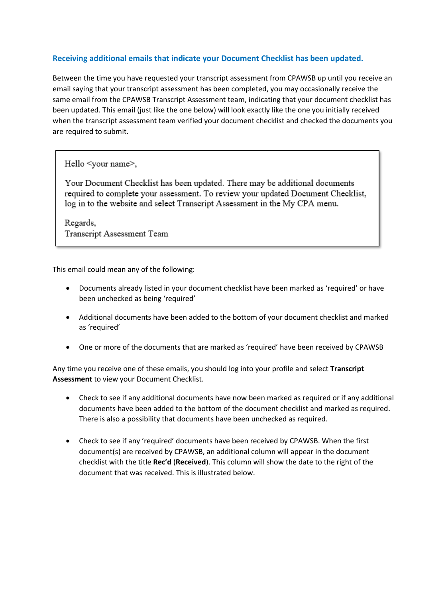## **Receiving additional emails that indicate your Document Checklist has been updated.**

Between the time you have requested your transcript assessment from CPAWSB up until you receive an email saying that your transcript assessment has been completed, you may occasionally receive the same email from the CPAWSB Transcript Assessment team, indicating that your document checklist has been updated. This email (just like the one below) will look exactly like the one you initially received when the transcript assessment team verified your document checklist and checked the documents you are required to submit.

Hello <your name>,

Your Document Checklist has been updated. There may be additional documents required to complete your assessment. To review your updated Document Checklist, log in to the website and select Transcript Assessment in the My CPA menu.

Regards, Transcript Assessment Team

This email could mean any of the following:

- Documents already listed in your document checklist have been marked as 'required' or have been unchecked as being 'required'
- Additional documents have been added to the bottom of your document checklist and marked as 'required'
- One or more of the documents that are marked as 'required' have been received by CPAWSB

Any time you receive one of these emails, you should log into your profile and select **Transcript Assessment** to view your Document Checklist.

- Check to see if any additional documents have now been marked as required or if any additional documents have been added to the bottom of the document checklist and marked as required. There is also a possibility that documents have been unchecked as required.
- Check to see if any 'required' documents have been received by CPAWSB. When the first document(s) are received by CPAWSB, an additional column will appear in the document checklist with the title **Rec'd** (**Received**). This column will show the date to the right of the document that was received. This is illustrated below.